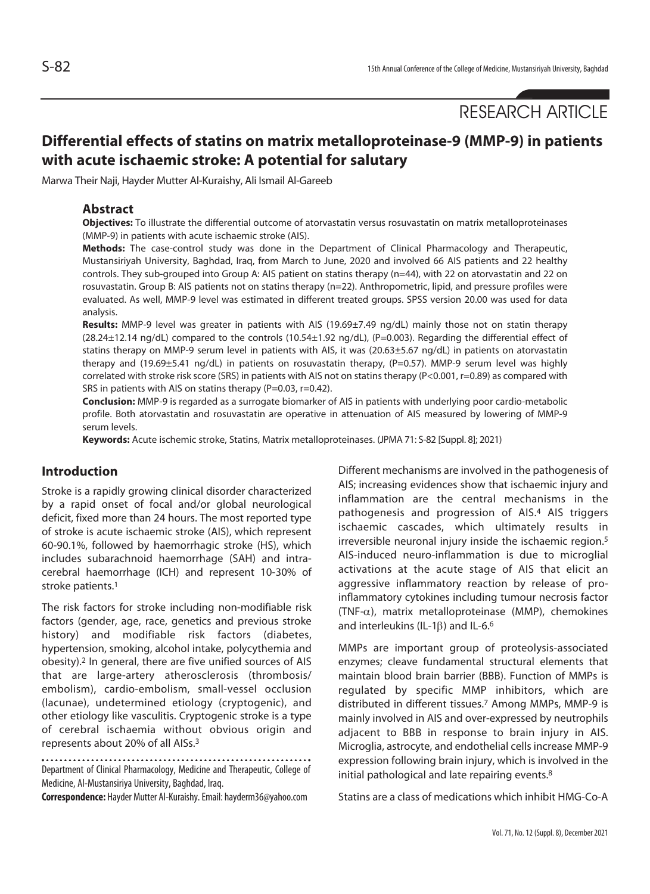RESEARCH ARTICLE

# **Differential effects of statins on matrix metalloproteinase-9 (MMP-9) in patients with acute ischaemic stroke: A potential for salutary**

Marwa Their Naji, Hayder Mutter Al-Kuraishy, Ali Ismail Al-Gareeb

## **Abstract**

**Objectives:** To illustrate the differential outcome of atorvastatin versus rosuvastatin on matrix metalloproteinases (MMP-9) in patients with acute ischaemic stroke (AIS).

**Methods:** The case-control study was done in the Department of Clinical Pharmacology and Therapeutic, Mustansiriyah University, Baghdad, Iraq, from March to June, 2020 and involved 66 AIS patients and 22 healthy controls. They sub-grouped into Group A: AIS patient on statins therapy (n=44), with 22 on atorvastatin and 22 on rosuvastatin. Group B: AIS patients not on statins therapy (n=22). Anthropometric, lipid, and pressure profiles were evaluated. As well, MMP-9 level was estimated in different treated groups. SPSS version 20.00 was used for data analysis.

**Results:** MMP-9 level was greater in patients with AIS (19.69±7.49 ng/dL) mainly those not on statin therapy (28.24±12.14 ng/dL) compared to the controls (10.54±1.92 ng/dL), (P=0.003). Regarding the differential effect of statins therapy on MMP-9 serum level in patients with AIS, it was (20.63±5.67 ng/dL) in patients on atorvastatin therapy and (19.69±5.41 ng/dL) in patients on rosuvastatin therapy, (P=0.57). MMP-9 serum level was highly correlated with stroke risk score (SRS) in patients with AIS not on statins therapy (P<0.001, r=0.89) as compared with SRS in patients with AIS on statins therapy (P=0.03, r=0.42).

**Conclusion:** MMP-9 is regarded as a surrogate biomarker of AIS in patients with underlying poor cardio-metabolic profile. Both atorvastatin and rosuvastatin are operative in attenuation of AIS measured by lowering of MMP-9 serum levels.

**Keywords:** Acute ischemic stroke, Statins, Matrix metalloproteinases. (JPMA 71: S-82 [Suppl. 8]; 2021)

## **Introduction**

Stroke is a rapidly growing clinical disorder characterized by a rapid onset of focal and/or global neurological deficit, fixed more than 24 hours. The most reported type of stroke is acute ischaemic stroke (AIS), which represent 60-90.1%, followed by haemorrhagic stroke (HS), which includes subarachnoid haemorrhage (SAH) and intracerebral haemorrhage (ICH) and represent 10-30% of stroke patients.1

The risk factors for stroke including non-modifiable risk factors (gender, age, race, genetics and previous stroke history) and modifiable risk factors (diabetes, hypertension, smoking, alcohol intake, polycythemia and obesity).2 In general, there are five unified sources of AIS that are large-artery atherosclerosis (thrombosis/ embolism), cardio-embolism, small-vessel occlusion (lacunae), undetermined etiology (cryptogenic), and other etiology like vasculitis. Cryptogenic stroke is a type of cerebral ischaemia without obvious origin and represents about 20% of all AISs.3

Department of Clinical Pharmacology, Medicine and Therapeutic, College of Medicine, Al-Mustansiriya University, Baghdad, Iraq.

**Correspondence:** Hayder Mutter Al-Kuraishy. Email: hayderm36@yahoo.com

Different mechanisms are involved in the pathogenesis of AIS; increasing evidences show that ischaemic injury and inflammation are the central mechanisms in the pathogenesis and progression of AIS.4 AIS triggers ischaemic cascades, which ultimately results in irreversible neuronal injury inside the ischaemic region.5 AIS-induced neuro-inflammation is due to microglial activations at the acute stage of AIS that elicit an aggressive inflammatory reaction by release of proinflammatory cytokines including tumour necrosis factor (TNF- $\alpha$ ), matrix metalloproteinase (MMP), chemokines and interleukins (IL-1 $\beta$ ) and IL-6.<sup>6</sup>

MMPs are important group of proteolysis-associated enzymes; cleave fundamental structural elements that maintain blood brain barrier (BBB). Function of MMPs is regulated by specific MMP inhibitors, which are distributed in different tissues.7 Among MMPs, MMP-9 is mainly involved in AIS and over-expressed by neutrophils adjacent to BBB in response to brain injury in AIS. Microglia, astrocyte, and endothelial cells increase MMP-9 expression following brain injury, which is involved in the initial pathological and late repairing events.<sup>8</sup>

Statins are a class of medications which inhibit HMG-Co-A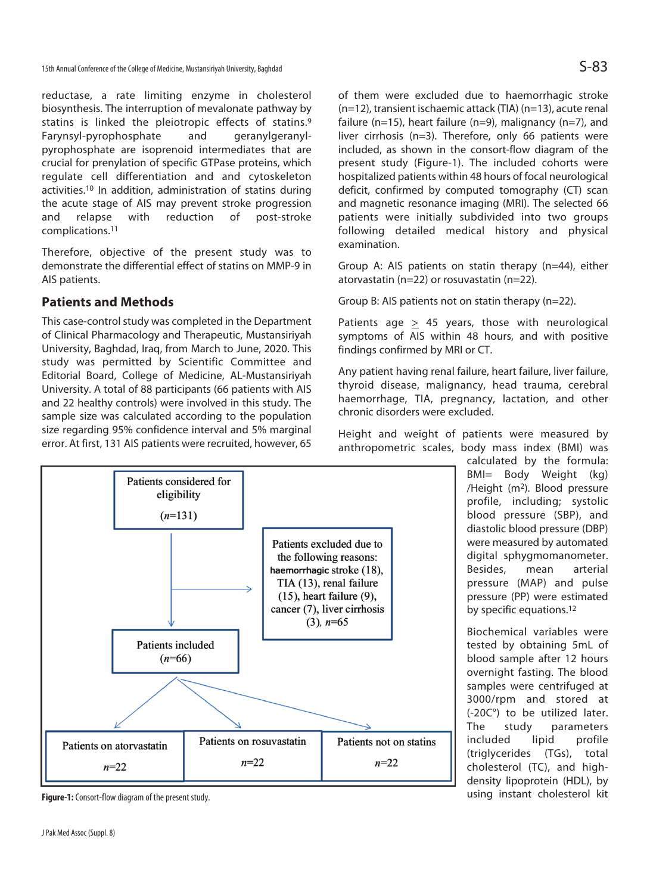15th Annual Conference of the College of Medicine, Mustansiriyah University, Baghdad  $S$ -83

reductase, a rate limiting enzyme in cholesterol biosynthesis. The interruption of mevalonate pathway by statins is linked the pleiotropic effects of statins.9 Farynsyl-pyrophosphate and geranylgeranylpyrophosphate are isoprenoid intermediates that are crucial for prenylation of specific GTPase proteins, which regulate cell differentiation and and cytoskeleton activities.10 In addition, administration of statins during the acute stage of AIS may prevent stroke progression and relapse with reduction of post-stroke complications.11

Therefore, objective of the present study was to demonstrate the differential effect of statins on MMP-9 in AIS patients.

## **Patients and Methods**

This case-control study was completed in the Department of Clinical Pharmacology and Therapeutic, Mustansiriyah University, Baghdad, Iraq, from March to June, 2020. This study was permitted by Scientific Committee and Editorial Board, College of Medicine, AL-Mustansiriyah University. A total of 88 participants (66 patients with AIS and 22 healthy controls) were involved in this study. The sample size was calculated according to the population size regarding 95% confidence interval and 5% marginal error. At first, 131 AIS patients were recruited, however, 65



**Figure-1:** Consort-flow diagram of the present study.

of them were excluded due to haemorrhagic stroke (n=12), transient ischaemic attack (TIA) (n=13), acute renal failure (n=15), heart failure (n=9), malignancy (n=7), and liver cirrhosis (n=3). Therefore, only 66 patients were included, as shown in the consort-flow diagram of the present study (Figure-1). The included cohorts were hospitalized patients within 48 hours of focal neurological deficit, confirmed by computed tomography (CT) scan and magnetic resonance imaging (MRI). The selected 66 patients were initially subdivided into two groups following detailed medical history and physical examination.

Group A: AIS patients on statin therapy (n=44), either atorvastatin (n=22) or rosuvastatin (n=22).

Group B: AIS patients not on statin therapy (n=22).

Patients age  $\geq$  45 years, those with neurological symptoms of AIS within 48 hours, and with positive findings confirmed by MRI or CT.

Any patient having renal failure, heart failure, liver failure, thyroid disease, malignancy, head trauma, cerebral haemorrhage, TIA, pregnancy, lactation, and other chronic disorders were excluded.

Height and weight of patients were measured by anthropometric scales, body mass index (BMI) was

calculated by the formula: BMI= Body Weight (kg) /Height (m2). Blood pressure profile, including; systolic blood pressure (SBP), and diastolic blood pressure (DBP) were measured by automated digital sphygmomanometer. Besides, mean arterial pressure (MAP) and pulse pressure (PP) were estimated by specific equations.12

Biochemical variables were tested by obtaining 5mL of blood sample after 12 hours overnight fasting. The blood samples were centrifuged at 3000/rpm and stored at (-20C°) to be utilized later. The study parameters included lipid profile (triglycerides (TGs), total cholesterol (TC), and highdensity lipoprotein (HDL), by using instant cholesterol kit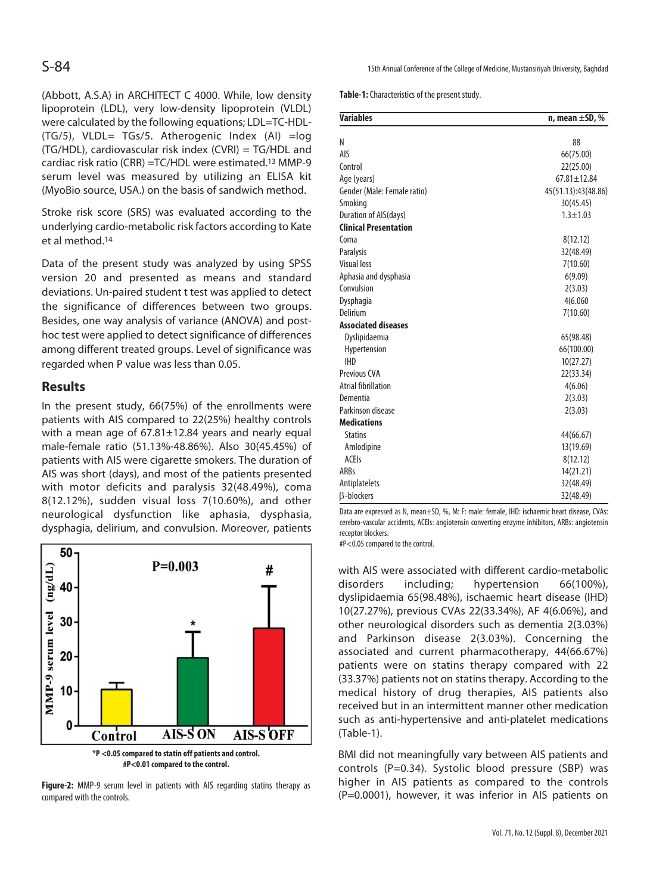(Abbott, A.S.A) in ARCHITECT C 4000. While, low density lipoprotein (LDL), very low-density lipoprotein (VLDL) were calculated by the following equations; LDL=TC-HDL- (TG/5), VLDL= TGs/5. Atherogenic Index (AI) =log (TG/HDL), cardiovascular risk index (CVRI) = TG/HDL and cardiac risk ratio (CRR) =TC/HDL were estimated.13 MMP-9 serum level was measured by utilizing an ELISA kit (MyoBio source, USA.) on the basis of sandwich method.

Stroke risk score (SRS) was evaluated according to the underlying cardio-metabolic risk factors according to Kate et al method.14

Data of the present study was analyzed by using SPSS version 20 and presented as means and standard deviations. Un-paired student t test was applied to detect the significance of differences between two groups. Besides, one way analysis of variance (ANOVA) and posthoc test were applied to detect significance of differences among different treated groups. Level of significance was regarded when P value was less than 0.05.

## **Results**

In the present study, 66(75%) of the enrollments were patients with AIS compared to 22(25%) healthy controls with a mean age of 67.81±12.84 years and nearly equal male-female ratio (51.13%-48.86%). Also 30(45.45%) of patients with AIS were cigarette smokers. The duration of AIS was short (days), and most of the patients presented with motor deficits and paralysis 32(48.49%), coma 8(12.12%), sudden visual loss 7(10.60%), and other neurological dysfunction like aphasia, dysphasia, dysphagia, delirium, and convulsion. Moreover, patients



**Figure-2:** MMP-9 serum level in patients with AIS regarding statins therapy as compared with the controls.

S-84 15th Annual Conference of the College of Medicine, Mustansiriyah University, Baghdad

**Table-1:** Characteristics of the present study.

| <b>Variables</b>             | n, mean $\pm$ SD, % |  |
|------------------------------|---------------------|--|
| Ν                            | 88                  |  |
| AIS                          |                     |  |
| Control                      | 66(75.00)           |  |
|                              | 22(25.00)           |  |
| Age (years)                  | $67.81 \pm 12.84$   |  |
| Gender (Male: Female ratio)  | 45(51.13):43(48.86) |  |
| Smoking                      | 30(45.45)           |  |
| Duration of AIS(days)        | $1.3 + 1.03$        |  |
| <b>Clinical Presentation</b> |                     |  |
| Coma                         | 8(12.12)            |  |
| <b>Paralysis</b>             | 32(48.49)           |  |
| <b>Visual loss</b>           | 7(10.60)            |  |
| Aphasia and dysphasia        | 6(9.09)             |  |
| Convulsion                   | 2(3.03)             |  |
| Dysphagia                    | 4(6.060             |  |
| Delirium                     | 7(10.60)            |  |
| <b>Associated diseases</b>   |                     |  |
| Dyslipidaemia                | 65(98.48)           |  |
| Hypertension                 | 66(100.00)          |  |
| <b>IHD</b>                   | 10(27.27)           |  |
| <b>Previous CVA</b>          | 22(33.34)           |  |
| <b>Atrial fibrillation</b>   | 4(6.06)             |  |
| Dementia                     | 2(3.03)             |  |
| Parkinson disease            | 2(3.03)             |  |
| <b>Medications</b>           |                     |  |
| <b>Statins</b>               | 44(66.67)           |  |
| Amlodipine                   | 13(19.69)           |  |
| <b>ACEIS</b>                 | 8(12.12)            |  |
| <b>ARBs</b>                  | 14(21.21)           |  |
| Antiplatelets                | 32(48.49)           |  |
| <b>B-blockers</b>            | 32(48.49)           |  |

Data are expressed as N, mean±SD, %, M: F: male: female, IHD: ischaemic heart disease, CVAs: cerebro-vascular accidents, ACEIs: angiotensin converting enzyme inhibitors, ARBs: angiotensin receptor blockers.

#P<0.05 compared to the control.

with AIS were associated with different cardio-metabolic disorders including; hypertension 66(100%), dyslipidaemia 65(98.48%), ischaemic heart disease (IHD) 10(27.27%), previous CVAs 22(33.34%), AF 4(6.06%), and other neurological disorders such as dementia 2(3.03%) and Parkinson disease 2(3.03%). Concerning the associated and current pharmacotherapy, 44(66.67%) patients were on statins therapy compared with 22 (33.37%) patients not on statins therapy. According to the medical history of drug therapies, AIS patients also received but in an intermittent manner other medication such as anti-hypertensive and anti-platelet medications (Table-1).

BMI did not meaningfully vary between AIS patients and controls (P=0.34). Systolic blood pressure (SBP) was higher in AIS patients as compared to the controls (P=0.0001), however, it was inferior in AIS patients on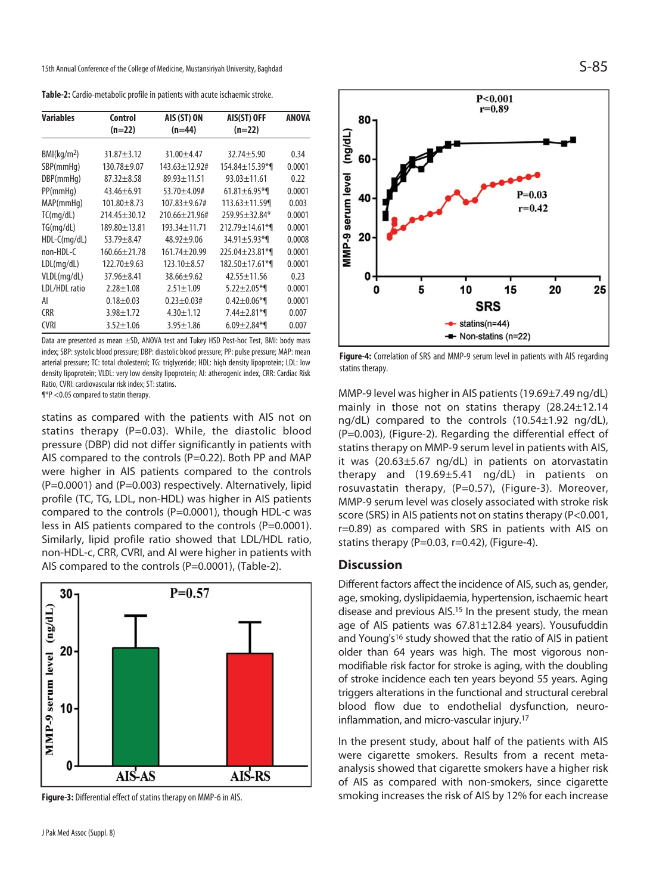15th Annual Conference of the College of Medicine, Mustansiriyah University, Baghdad  $S$ -85

**Table-2:** Cardio-metabolic profile in patients with acute ischaemic stroke.

| <b>Variables</b>        | Control            | AIS (ST) ON           | AIS(ST) OFF           | <b>ANOVA</b> |
|-------------------------|--------------------|-----------------------|-----------------------|--------------|
|                         | (n=22)             | $(n=44)$              | (n=22)                |              |
|                         |                    |                       |                       |              |
| BMl(kq/m <sup>2</sup> ) | $31.87 + 3.12$     | $31.00 + 4.47$        | $32.74 + 5.90$        | 0.34         |
| SBP(mmHq)               | $130.78 + 9.07$    | $143.63 \pm 12.92$ #  | 154.84±15.39*¶        | 0.0001       |
| DBP(mmHq)               | $87.32 + 8.58$     | $89.93 \pm 11.51$     | $93.03 \pm 11.61$     | 0.22         |
| PP(mmHq)                | $43.46 \pm 6.91$   | 53.70±4.09#           | $61.81 \pm 6.95$ *1   | 0.0001       |
| MAP(mmHq)               | $101.80 \pm 8.73$  | $107.83 + 9.67$ #     | $113.63 \pm 11.59$    | 0.003        |
| TC(mq/dL)               | $214.45 + 30.12$   | $210.66 \pm 21.96 \#$ | $259.95 + 32.84*$     | 0.0001       |
| TG(mq/dL)               | $189.80 \pm 13.81$ | 193.34±11.71          | $212.79 \pm 14.61$ *1 | 0.0001       |
| $HDL-C(mq/dL)$          | $53.79 + 8.47$     | $48.92 + 9.06$        | $34.91 \pm 5.93$ *1   | 0.0008       |
| non-HDL-C               | $160.66 + 21.78$   | $161.74 + 20.99$      | $225.04 + 23.81$ *    | 0.0001       |
| LDL(mq/dL)              | $122.70 + 9.63$    | $123.10 + 8.57$       | 182.50±17.61*¶        | 0.0001       |
| VLDL(mg/dL)             | $37.96 + 8.41$     | $38.66 + 9.62$        | $42.55 + 11.56$       | 0.23         |
| LDL/HDL ratio           | $2.28 + 1.08$      | $2.51 \pm 1.09$       | $5.22 \pm 2.05$ *1    | 0.0001       |
| AI                      | $0.18 + 0.03$      | $0.23 + 0.03#$        | $0.42 \pm 0.06$ *1    | 0.0001       |
| <b>CRR</b>              | $3.98 \pm 1.72$    | $4.30 \pm 1.12$       | $7.44 \pm 2.81$ *     | 0.007        |
| <b>CVRI</b>             | $3.52 \pm 1.06$    | $3.95 \pm 1.86$       | $6.09 \pm 2.84$ *1    | 0.007        |

Data are presented as mean ±SD, ANOVA test and Tukey HSD Post-hoc Test, BMI: body mass index; SBP: systolic blood pressure; DBP: diastolic blood pressure; PP: pulse pressure; MAP: mean arterial pressure; TC: total cholesterol; TG: triglyceride; HDL: high density lipoprotein; LDL: low density lipoprotein; VLDL: very low density lipoprotein; AI: atherogenic index, CRR: Cardiac Risk Ratio, CVRI: cardiovascular risk index; ST: statins.

¶\*P <0.05 compared to statin therapy.

statins as compared with the patients with AIS not on statins therapy (P=0.03). While, the diastolic blood pressure (DBP) did not differ significantly in patients with AIS compared to the controls (P=0.22). Both PP and MAP were higher in AIS patients compared to the controls (P=0.0001) and (P=0.003) respectively. Alternatively, lipid profile (TC, TG, LDL, non-HDL) was higher in AIS patients compared to the controls (P=0.0001), though HDL-c was less in AIS patients compared to the controls (P=0.0001). Similarly, lipid profile ratio showed that LDL/HDL ratio, non-HDL-c, CRR, CVRI, and AI were higher in patients with AIS compared to the controls (P=0.0001), (Table-2).



**Figure-3:** Differential effect of statins therapy on MMP-6 in AIS.





**Figure-4:** Correlation of SRS and MMP-9 serum level in patients with AIS regarding statins therapy.

MMP-9 level was higher in AIS patients (19.69±7.49 ng/dL) mainly in those not on statins therapy (28.24±12.14 ng/dL) compared to the controls (10.54±1.92 ng/dL), (P=0.003), (Figure-2). Regarding the differential effect of statins therapy on MMP-9 serum level in patients with AIS, it was (20.63±5.67 ng/dL) in patients on atorvastatin therapy and (19.69±5.41 ng/dL) in patients on rosuvastatin therapy, (P=0.57), (Figure-3). Moreover, MMP-9 serum level was closely associated with stroke risk score (SRS) in AIS patients not on statins therapy (P<0.001, r=0.89) as compared with SRS in patients with AIS on statins therapy ( $P=0.03$ ,  $r=0.42$ ), (Figure-4).

### **Discussion**

Different factors affect the incidence of AIS, such as, gender, age, smoking, dyslipidaemia, hypertension, ischaemic heart disease and previous AIS.15 In the present study, the mean age of AIS patients was 67.81±12.84 years). Yousufuddin and Young's<sup>16</sup> study showed that the ratio of AIS in patient older than 64 years was high. The most vigorous nonmodifiable risk factor for stroke is aging, with the doubling of stroke incidence each ten years beyond 55 years. Aging triggers alterations in the functional and structural cerebral blood flow due to endothelial dysfunction, neuroinflammation, and micro-vascular injury.17

In the present study, about half of the patients with AIS were cigarette smokers. Results from a recent metaanalysis showed that cigarette smokers have a higher risk of AIS as compared with non-smokers, since cigarette smoking increases the risk of AIS by 12% for each increase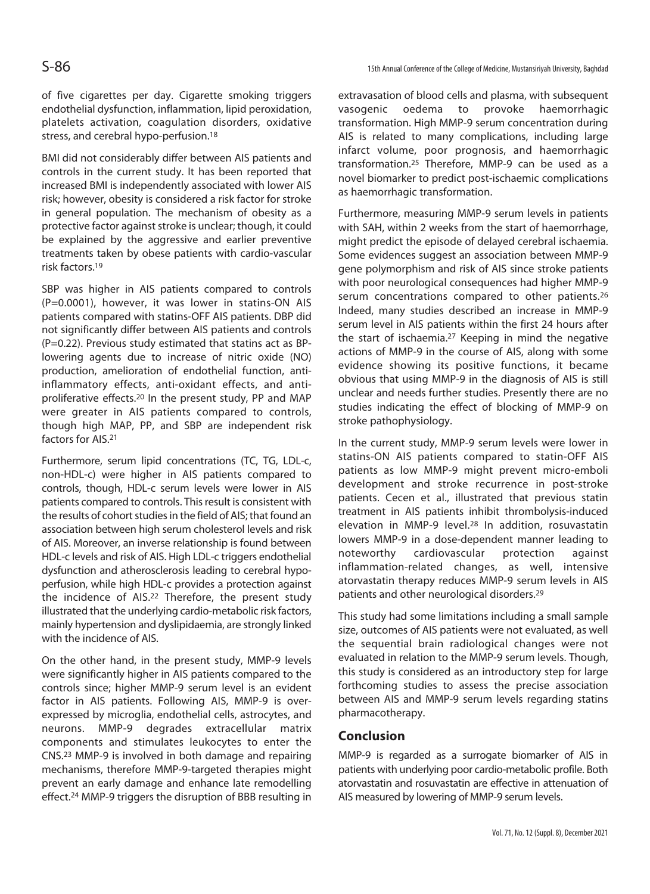of five cigarettes per day. Cigarette smoking triggers endothelial dysfunction, inflammation, lipid peroxidation, platelets activation, coagulation disorders, oxidative stress, and cerebral hypo-perfusion.18

BMI did not considerably differ between AIS patients and controls in the current study. It has been reported that increased BMI is independently associated with lower AIS risk; however, obesity is considered a risk factor for stroke in general population. The mechanism of obesity as a protective factor against stroke is unclear; though, it could be explained by the aggressive and earlier preventive treatments taken by obese patients with cardio-vascular risk factors.19

SBP was higher in AIS patients compared to controls (P=0.0001), however, it was lower in statins-ON AIS patients compared with statins-OFF AIS patients. DBP did not significantly differ between AIS patients and controls (P=0.22). Previous study estimated that statins act as BPlowering agents due to increase of nitric oxide (NO) production, amelioration of endothelial function, antiinflammatory effects, anti-oxidant effects, and antiproliferative effects.20 In the present study, PP and MAP were greater in AIS patients compared to controls, though high MAP, PP, and SBP are independent risk factors for AIS.21

Furthermore, serum lipid concentrations (TC, TG, LDL-c, non-HDL-c) were higher in AIS patients compared to controls, though, HDL-c serum levels were lower in AIS patients compared to controls. This result is consistent with the results of cohort studies in the field of AIS; that found an association between high serum cholesterol levels and risk of AIS. Moreover, an inverse relationship is found between HDL-c levels and risk of AIS. High LDL-c triggers endothelial dysfunction and atherosclerosis leading to cerebral hypoperfusion, while high HDL-c provides a protection against the incidence of AIS.<sup>22</sup> Therefore, the present study illustrated that the underlying cardio-metabolic risk factors, mainly hypertension and dyslipidaemia, are strongly linked with the incidence of AIS.

On the other hand, in the present study, MMP-9 levels were significantly higher in AIS patients compared to the controls since; higher MMP-9 serum level is an evident factor in AIS patients. Following AIS, MMP-9 is overexpressed by microglia, endothelial cells, astrocytes, and neurons. MMP-9 degrades extracellular matrix components and stimulates leukocytes to enter the CNS.23 MMP-9 is involved in both damage and repairing mechanisms, therefore MMP-9-targeted therapies might prevent an early damage and enhance late remodelling effect.24 MMP-9 triggers the disruption of BBB resulting in

extravasation of blood cells and plasma, with subsequent vasogenic oedema to provoke haemorrhagic transformation. High MMP-9 serum concentration during AIS is related to many complications, including large infarct volume, poor prognosis, and haemorrhagic transformation.25 Therefore, MMP-9 can be used as a novel biomarker to predict post-ischaemic complications as haemorrhagic transformation.

Furthermore, measuring MMP-9 serum levels in patients with SAH, within 2 weeks from the start of haemorrhage, might predict the episode of delayed cerebral ischaemia. Some evidences suggest an association between MMP-9 gene polymorphism and risk of AIS since stroke patients with poor neurological consequences had higher MMP-9 serum concentrations compared to other patients.<sup>26</sup> Indeed, many studies described an increase in MMP-9 serum level in AIS patients within the first 24 hours after the start of ischaemia.27 Keeping in mind the negative actions of MMP-9 in the course of AIS, along with some evidence showing its positive functions, it became obvious that using MMP-9 in the diagnosis of AIS is still unclear and needs further studies. Presently there are no studies indicating the effect of blocking of MMP-9 on stroke pathophysiology.

In the current study, MMP-9 serum levels were lower in statins-ON AIS patients compared to statin-OFF AIS patients as low MMP-9 might prevent micro-emboli development and stroke recurrence in post-stroke patients. Cecen et al., illustrated that previous statin treatment in AIS patients inhibit thrombolysis-induced elevation in MMP-9 level.28 In addition, rosuvastatin lowers MMP-9 in a dose-dependent manner leading to noteworthy cardiovascular protection against inflammation-related changes, as well, intensive atorvastatin therapy reduces MMP-9 serum levels in AIS patients and other neurological disorders.29

This study had some limitations including a small sample size, outcomes of AIS patients were not evaluated, as well the sequential brain radiological changes were not evaluated in relation to the MMP-9 serum levels. Though, this study is considered as an introductory step for large forthcoming studies to assess the precise association between AIS and MMP-9 serum levels regarding statins pharmacotherapy.

## **Conclusion**

MMP-9 is regarded as a surrogate biomarker of AIS in patients with underlying poor cardio-metabolic profile. Both atorvastatin and rosuvastatin are effective in attenuation of AIS measured by lowering of MMP-9 serum levels.